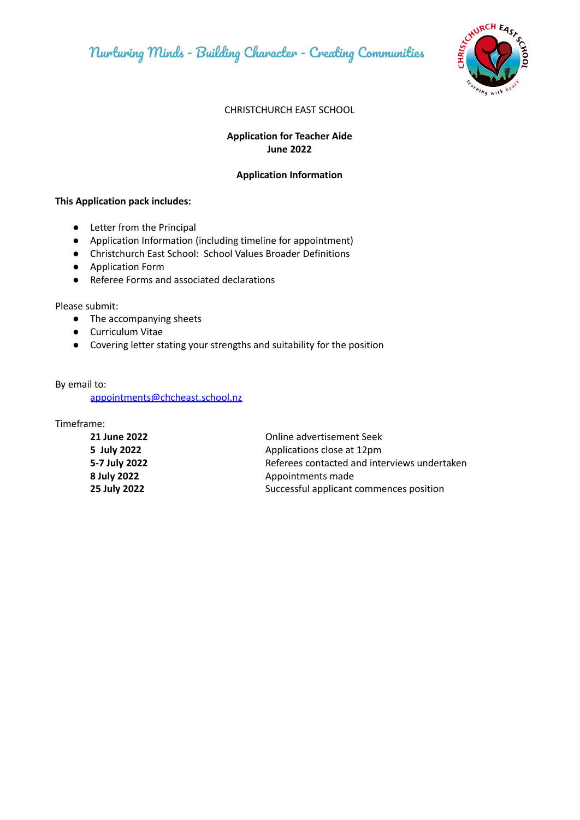

#### CHRISTCHURCH EAST SCHOOL

# **Application for Teacher Aide June 2022**

## **Application Information**

#### **This Application pack includes:**

- Letter from the Principal
- Application Information (including timeline for appointment)
- Christchurch East School: School Values Broader Definitions
- Application Form
- Referee Forms and associated declarations

Please submit:

- The accompanying sheets
- Curriculum Vitae
- Covering letter stating your strengths and suitability for the position

By email to:

[appointments@chcheast.school.nz](mailto:appointments@chcheast.school.nz)

Timeframe:

| 21 June 2022  | Online advertisement Seek                    |
|---------------|----------------------------------------------|
| 5 July 2022   | Applications close at 12pm                   |
| 5-7 July 2022 | Referees contacted and interviews undertaken |
| 8 July 2022   | Appointments made                            |
| 25 July 2022  | Successful applicant commences position      |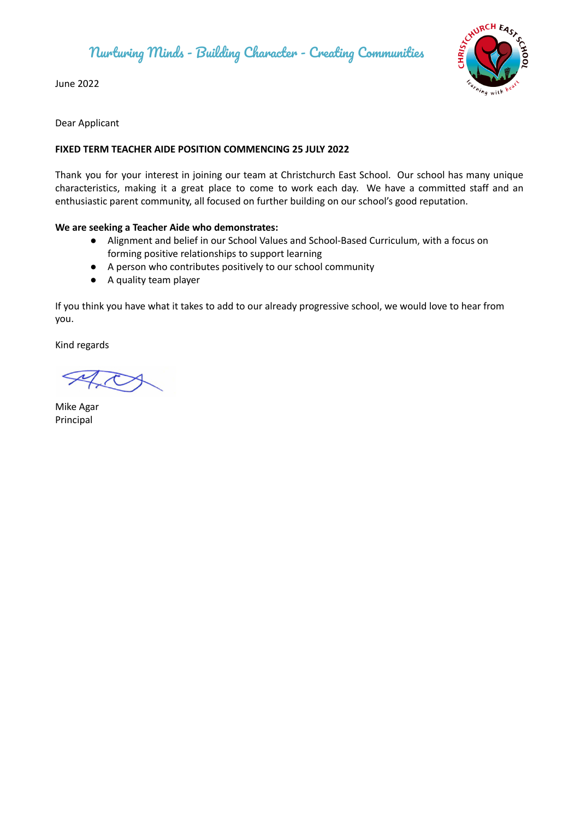June 2022



Dear Applicant

# **FIXED TERM TEACHER AIDE POSITION COMMENCING 25 JULY 2022**

Thank you for your interest in joining our team at Christchurch East School. Our school has many unique characteristics, making it a great place to come to work each day. We have a committed staff and an enthusiastic parent community, all focused on further building on our school's good reputation.

## **We are seeking a Teacher Aide who demonstrates:**

- Alignment and belief in our School Values and School-Based Curriculum, with a focus on forming positive relationships to support learning
- A person who contributes positively to our school community
- A quality team player

If you think you have what it takes to add to our already progressive school, we would love to hear from you.

Kind regards

Mike Agar Principal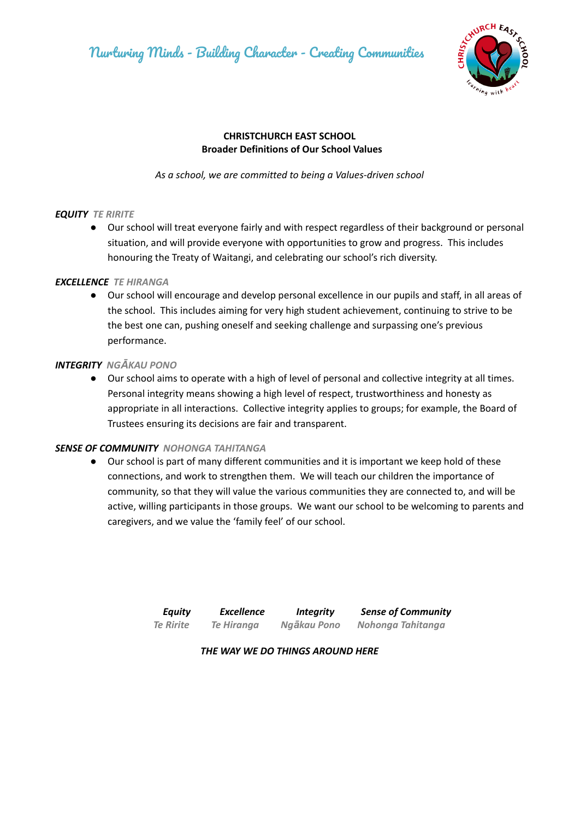

# **CHRISTCHURCH EAST SCHOOL Broader Definitions of Our School Values**

*As a school, we are committed to being a Values-driven school*

## *EQUITY TE RIRITE*

● Our school will treat everyone fairly and with respect regardless of their background or personal situation, and will provide everyone with opportunities to grow and progress. This includes honouring the Treaty of Waitangi, and celebrating our school's rich diversity.

## *EXCELLENCE TE HIRANGA*

● Our school will encourage and develop personal excellence in our pupils and staff, in all areas of the school. This includes aiming for very high student achievement, continuing to strive to be the best one can, pushing oneself and seeking challenge and surpassing one's previous performance.

## *INTEGRITY NGĀKAU PONO*

● Our school aims to operate with a high of level of personal and collective integrity at all times. Personal integrity means showing a high level of respect, trustworthiness and honesty as appropriate in all interactions. Collective integrity applies to groups; for example, the Board of Trustees ensuring its decisions are fair and transparent.

# *SENSE OF COMMUNITY NOHONGA TAHITANGA*

Our school is part of many different communities and it is important we keep hold of these connections, and work to strengthen them. We will teach our children the importance of community, so that they will value the various communities they are connected to, and will be active, willing participants in those groups. We want our school to be welcoming to parents and caregivers, and we value the 'family feel' of our school.

| <b>Equity</b>    | <b>Excellence</b> | <b>Integrity</b> | <b>Sense of Community</b> |
|------------------|-------------------|------------------|---------------------------|
| <b>Te Ririte</b> | Te Hiranga        | Ngākau Pono      | Nohonga Tahitanga         |

*THE WAY WE DO THINGS AROUND HERE*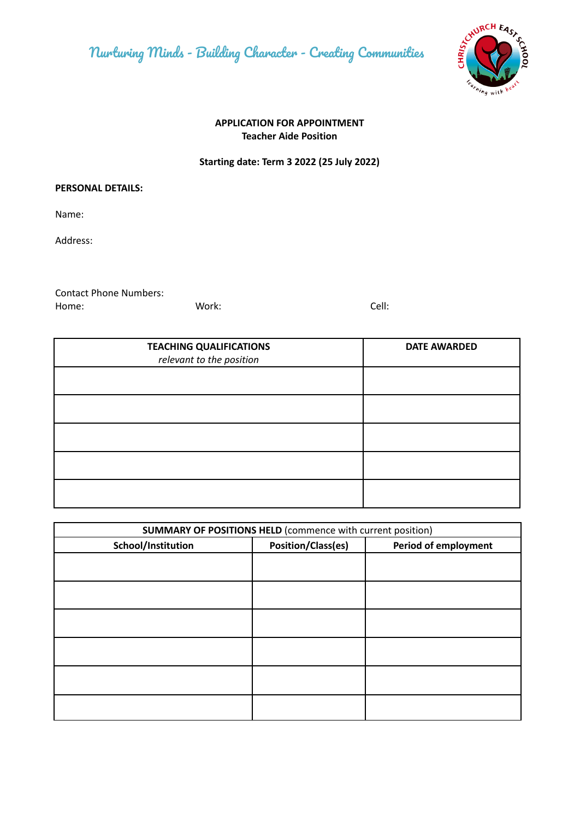

# **APPLICATION FOR APPOINTMENT Teacher Aide Position**

# **Starting date: Term 3 2022 (25 July 2022)**

#### **PERSONAL DETAILS:**

Name:

Address:

Contact Phone Numbers: Home: Work: Cell:

| <b>TEACHING QUALIFICATIONS</b><br>relevant to the position | <b>DATE AWARDED</b> |
|------------------------------------------------------------|---------------------|
|                                                            |                     |
|                                                            |                     |
|                                                            |                     |
|                                                            |                     |
|                                                            |                     |

| <b>SUMMARY OF POSITIONS HELD (commence with current position)</b> |                    |                             |  |
|-------------------------------------------------------------------|--------------------|-----------------------------|--|
| School/Institution                                                | Position/Class(es) | <b>Period of employment</b> |  |
|                                                                   |                    |                             |  |
|                                                                   |                    |                             |  |
|                                                                   |                    |                             |  |
|                                                                   |                    |                             |  |
|                                                                   |                    |                             |  |
|                                                                   |                    |                             |  |
|                                                                   |                    |                             |  |
|                                                                   |                    |                             |  |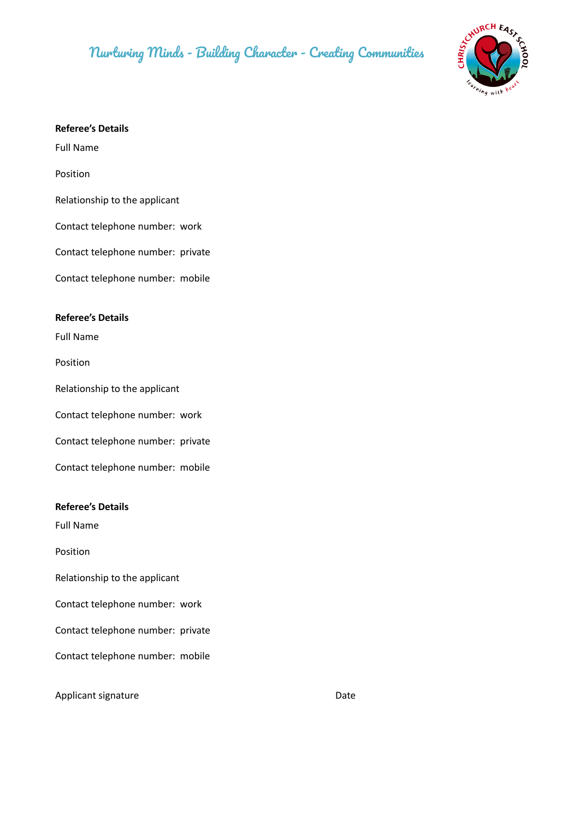

#### **Referee's Details**

Full Name

Position

Relationship to the applicant

Contact telephone number: work

Contact telephone number: private

Contact telephone number: mobile

#### **Referee's Details**

Full Name

Position

Relationship to the applicant

Contact telephone number: work

Contact telephone number: private

Contact telephone number: mobile

#### **Referee's Details**

Full Name

Position

Relationship to the applicant

Contact telephone number: work

Contact telephone number: private

Contact telephone number: mobile

Applicant signature Date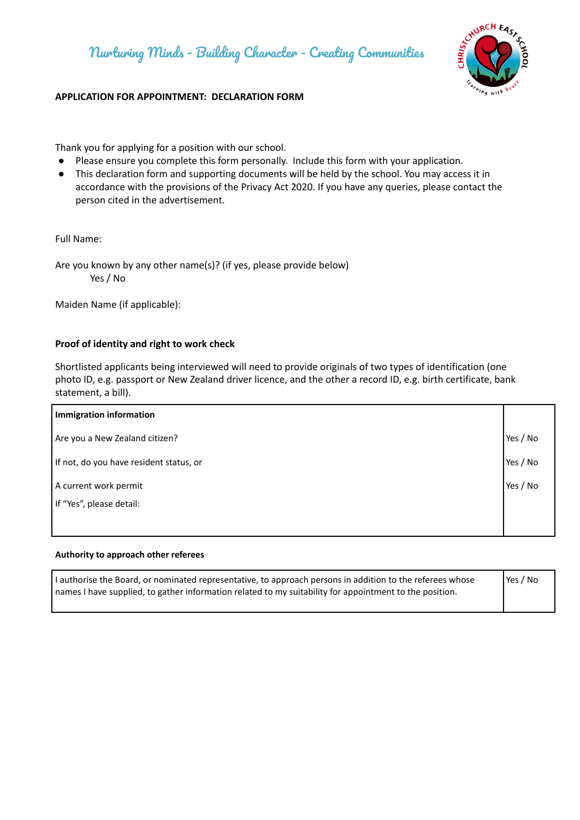

# **APPLICATION FOR APPOINTMENT: DECLARATION FORM**

Thank you for applying for a position with our school.

- Please ensure you complete this form personally. Include this form with your application.
- This declaration form and supporting documents will be held by the school. You may access it in accordance with the provisions of the Privacy Act 2020. If you have any queries, please contact the person cited in the advertisement.

Full Name:

Are you known by any other name(s)? (if yes, please provide below) Yes / No

Maiden Name (if applicable):

#### **Proof of identity and right to work check**

Shortlisted applicants being interviewed will need to provide originals of two types of identification (one photo ID, e.g. passport or New Zealand driver licence, and the other a record ID, e.g. birth certificate, bank statement, a bill).

| <b>Immigration information</b>          |          |
|-----------------------------------------|----------|
| Are you a New Zealand citizen?          | Yes / No |
| If not, do you have resident status, or | Yes / No |
| A current work permit                   | Yes / No |
| If "Yes", please detail:                |          |
|                                         |          |

#### **Authority to approach other referees**

| I authorise the Board, or nominated representative, to approach persons in addition to the referees whose | Yes / No |
|-----------------------------------------------------------------------------------------------------------|----------|
| names I have supplied, to gather information related to my suitability for appointment to the position.   |          |
|                                                                                                           |          |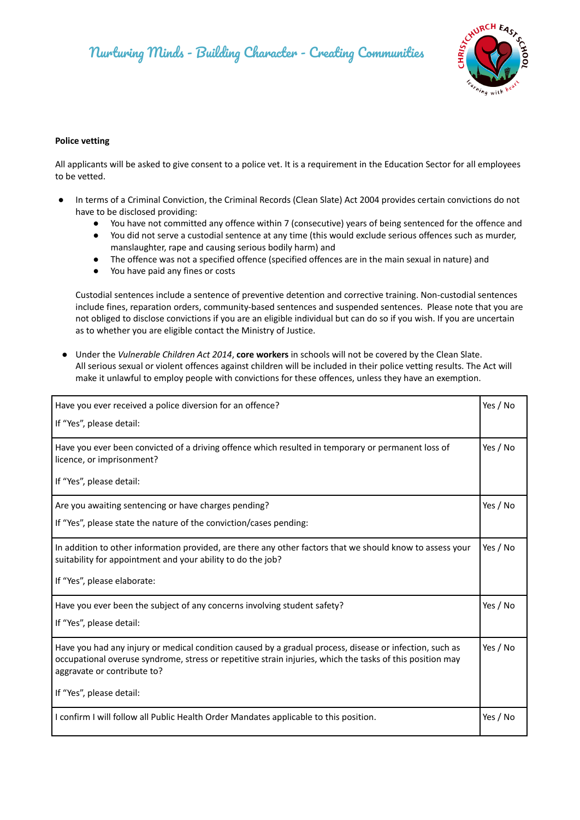

#### **Police vetting**

All applicants will be asked to give consent to a police vet. It is a requirement in the Education Sector for all employees to be vetted.

- In terms of a Criminal Conviction, the Criminal Records (Clean Slate) Act 2004 provides certain convictions do not have to be disclosed providing:
	- You have not committed any offence within 7 (consecutive) years of being sentenced for the offence and
	- You did not serve a custodial sentence at any time (this would exclude serious offences such as murder, manslaughter, rape and causing serious bodily harm) and
	- The offence was not a specified offence (specified offences are in the main sexual in nature) and
	- You have paid any fines or costs

Custodial sentences include a sentence of preventive detention and corrective training. Non-custodial sentences include fines, reparation orders, community-based sentences and suspended sentences. Please note that you are not obliged to disclose convictions if you are an eligible individual but can do so if you wish. If you are uncertain as to whether you are eligible contact the Ministry of Justice.

● Under the *Vulnerable Children Act 2014*, **core workers** in schools will not be covered by the Clean Slate. All serious sexual or violent offences against children will be included in their police vetting results. The Act will make it unlawful to employ people with convictions for these offences, unless they have an exemption.

| Have you ever received a police diversion for an offence?                                                                                                                                                                                           |          |
|-----------------------------------------------------------------------------------------------------------------------------------------------------------------------------------------------------------------------------------------------------|----------|
| If "Yes", please detail:                                                                                                                                                                                                                            |          |
| Have you ever been convicted of a driving offence which resulted in temporary or permanent loss of<br>licence, or imprisonment?                                                                                                                     | Yes / No |
| If "Yes", please detail:                                                                                                                                                                                                                            |          |
| Are you awaiting sentencing or have charges pending?                                                                                                                                                                                                | Yes / No |
| If "Yes", please state the nature of the conviction/cases pending:                                                                                                                                                                                  |          |
| In addition to other information provided, are there any other factors that we should know to assess your<br>suitability for appointment and your ability to do the job?                                                                            | Yes / No |
| If "Yes", please elaborate:                                                                                                                                                                                                                         |          |
| Have you ever been the subject of any concerns involving student safety?                                                                                                                                                                            | Yes / No |
| If "Yes", please detail:                                                                                                                                                                                                                            |          |
| Have you had any injury or medical condition caused by a gradual process, disease or infection, such as<br>occupational overuse syndrome, stress or repetitive strain injuries, which the tasks of this position may<br>aggravate or contribute to? | Yes / No |
| If "Yes", please detail:                                                                                                                                                                                                                            |          |
| I confirm I will follow all Public Health Order Mandates applicable to this position.                                                                                                                                                               | Yes / No |